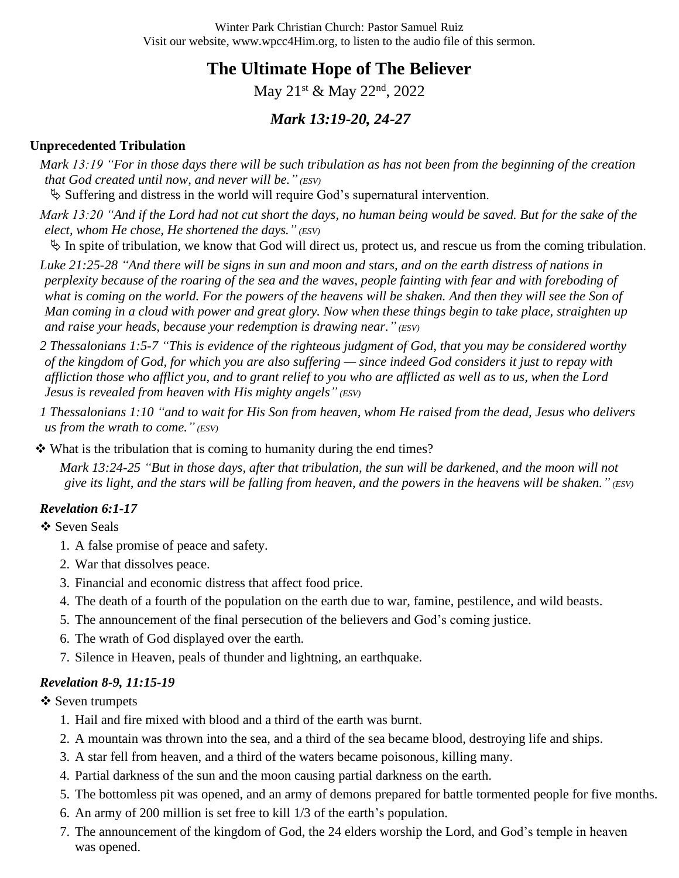Winter Park Christian Church: Pastor Samuel Ruiz Visit our website, www.wpcc4Him.org, to listen to the audio file of this sermon.

**The Ultimate Hope of The Believer**

May 21<sup>st</sup> & May 22<sup>nd</sup>, 2022

# *Mark 13:19-20, 24-27*

#### **Unprecedented Tribulation**

*Mark 13:19 "For in those days there will be such tribulation as has not been from the beginning of the creation that God created until now, and never will be." (ESV)*

 $\&$  Suffering and distress in the world will require God's supernatural intervention.

*Mark 13:20 "And if the Lord had not cut short the days, no human being would be saved. But for the sake of the elect, whom He chose, He shortened the days." (ESV)*

 $\%$  In spite of tribulation, we know that God will direct us, protect us, and rescue us from the coming tribulation.

*Luke 21:25-28 "And there will be signs in sun and moon and stars, and on the earth distress of nations in perplexity because of the roaring of the sea and the waves, people fainting with fear and with foreboding of*  what is coming on the world. For the powers of the heavens will be shaken. And then they will see the Son of *Man coming in a cloud with power and great glory. Now when these things begin to take place, straighten up and raise your heads, because your redemption is drawing near." (ESV)*

*2 Thessalonians 1:5-7 "This is evidence of the righteous judgment of God, that you may be considered worthy of the kingdom of God, for which you are also suffering — since indeed God considers it just to repay with affliction those who afflict you, and to grant relief to you who are afflicted as well as to us, when the Lord Jesus is revealed from heaven with His mighty angels" (ESV)*

*1 Thessalonians 1:10 "and to wait for His Son from heaven, whom He raised from the dead, Jesus who delivers us from the wrath to come." (ESV)*

❖ What is the tribulation that is coming to humanity during the end times?

*Mark 13:24-25 "But in those days, after that tribulation, the sun will be darkened, and the moon will not give its light, and the stars will be falling from heaven, and the powers in the heavens will be shaken." (ESV)*

#### *Revelation 6:1-17*

❖ Seven Seals

- 1. A false promise of peace and safety.
- 2. War that dissolves peace.
- 3. Financial and economic distress that affect food price.
- 4. The death of a fourth of the population on the earth due to war, famine, pestilence, and wild beasts.
- 5. The announcement of the final persecution of the believers and God's coming justice.
- 6. The wrath of God displayed over the earth.
- 7. Silence in Heaven, peals of thunder and lightning, an earthquake.

#### *Revelation 8-9, 11:15-19*

❖ Seven trumpets

- 1. Hail and fire mixed with blood and a third of the earth was burnt.
- 2. A mountain was thrown into the sea, and a third of the sea became blood, destroying life and ships.
- 3. A star fell from heaven, and a third of the waters became poisonous, killing many.
- 4. Partial darkness of the sun and the moon causing partial darkness on the earth.
- 5. The bottomless pit was opened, and an army of demons prepared for battle tormented people for five months.
- 6. An army of 200 million is set free to kill 1/3 of the earth's population.
- 7. The announcement of the kingdom of God, the 24 elders worship the Lord, and God's temple in heaven was opened.